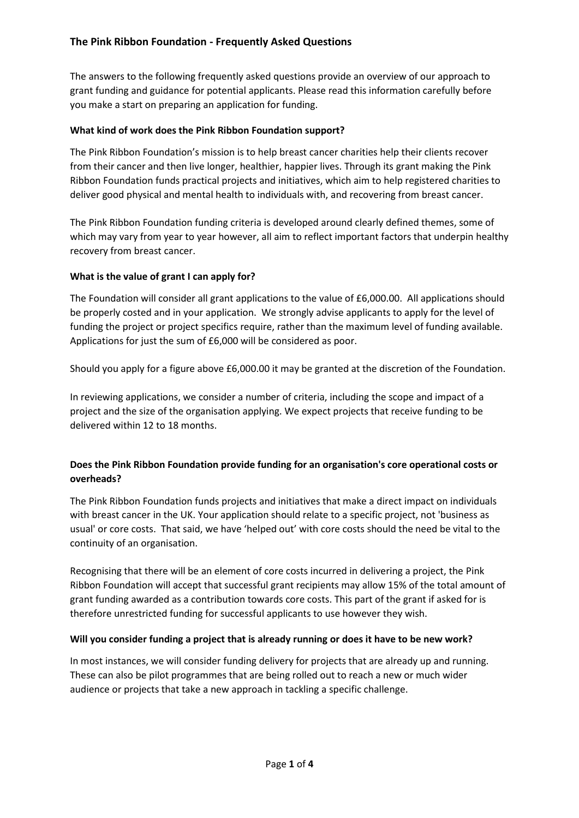# **The Pink Ribbon Foundation - Frequently Asked Questions**

The answers to the following frequently asked questions provide an overview of our approach to grant funding and guidance for potential applicants. Please read this information carefully before you make a start on preparing an application for funding.

### **What kind of work does the Pink Ribbon Foundation support?**

The Pink Ribbon Foundation's mission is to help breast cancer charities help their clients recover from their cancer and then live longer, healthier, happier lives. Through its grant making the Pink Ribbon Foundation funds practical projects and initiatives, which aim to help registered charities to deliver good physical and mental health to individuals with, and recovering from breast cancer.

The Pink Ribbon Foundation funding criteria is developed around clearly defined themes, some of which may vary from year to year however, all aim to reflect important factors that underpin healthy recovery from breast cancer.

#### **What is the value of grant I can apply for?**

The Foundation will consider all grant applications to the value of £6,000.00. All applications should be properly costed and in your application. We strongly advise applicants to apply for the level of funding the project or project specifics require, rather than the maximum level of funding available. Applications for just the sum of £6,000 will be considered as poor.

Should you apply for a figure above £6,000.00 it may be granted at the discretion of the Foundation.

In reviewing applications, we consider a number of criteria, including the scope and impact of a project and the size of the organisation applying. We expect projects that receive funding to be delivered within 12 to 18 months.

# **Does the Pink Ribbon Foundation provide funding for an organisation's core operational costs or overheads?**

The Pink Ribbon Foundation funds projects and initiatives that make a direct impact on individuals with breast cancer in the UK. Your application should relate to a specific project, not 'business as usual' or core costs. That said, we have 'helped out' with core costs should the need be vital to the continuity of an organisation.

Recognising that there will be an element of core costs incurred in delivering a project, the Pink Ribbon Foundation will accept that successful grant recipients may allow 15% of the total amount of grant funding awarded as a contribution towards core costs. This part of the grant if asked for is therefore unrestricted funding for successful applicants to use however they wish.

#### **Will you consider funding a project that is already running or does it have to be new work?**

In most instances, we will consider funding delivery for projects that are already up and running. These can also be pilot programmes that are being rolled out to reach a new or much wider audience or projects that take a new approach in tackling a specific challenge.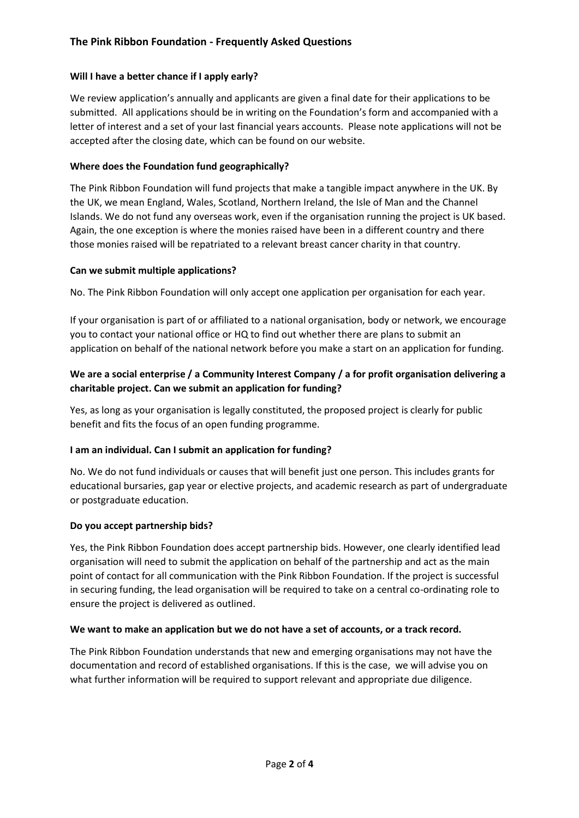# **The Pink Ribbon Foundation - Frequently Asked Questions**

### **Will I have a better chance if I apply early?**

We review application's annually and applicants are given a final date for their applications to be submitted. All applications should be in writing on the Foundation's form and accompanied with a letter of interest and a set of your last financial years accounts. Please note applications will not be accepted after the closing date, which can be found on our website.

### **Where does the Foundation fund geographically?**

The Pink Ribbon Foundation will fund projects that make a tangible impact anywhere in the UK. By the UK, we mean England, Wales, Scotland, Northern Ireland, the Isle of Man and the Channel Islands. We do not fund any overseas work, even if the organisation running the project is UK based. Again, the one exception is where the monies raised have been in a different country and there those monies raised will be repatriated to a relevant breast cancer charity in that country.

#### **Can we submit multiple applications?**

No. The Pink Ribbon Foundation will only accept one application per organisation for each year.

If your organisation is part of or affiliated to a national organisation, body or network, we encourage you to contact your national office or HQ to find out whether there are plans to submit an application on behalf of the national network before you make a start on an application for funding.

# **We are a social enterprise / a Community Interest Company / a for profit organisation delivering a charitable project. Can we submit an application for funding?**

Yes, as long as your organisation is legally constituted, the proposed project is clearly for public benefit and fits the focus of an open funding programme.

#### **I am an individual. Can I submit an application for funding?**

No. We do not fund individuals or causes that will benefit just one person. This includes grants for educational bursaries, gap year or elective projects, and academic research as part of undergraduate or postgraduate education.

#### **Do you accept partnership bids?**

Yes, the Pink Ribbon Foundation does accept partnership bids. However, one clearly identified lead organisation will need to submit the application on behalf of the partnership and act as the main point of contact for all communication with the Pink Ribbon Foundation. If the project is successful in securing funding, the lead organisation will be required to take on a central co-ordinating role to ensure the project is delivered as outlined.

#### **We want to make an application but we do not have a set of accounts, or a track record.**

The Pink Ribbon Foundation understands that new and emerging organisations may not have the documentation and record of established organisations. If this is the case, we will advise you on what further information will be required to support relevant and appropriate due diligence.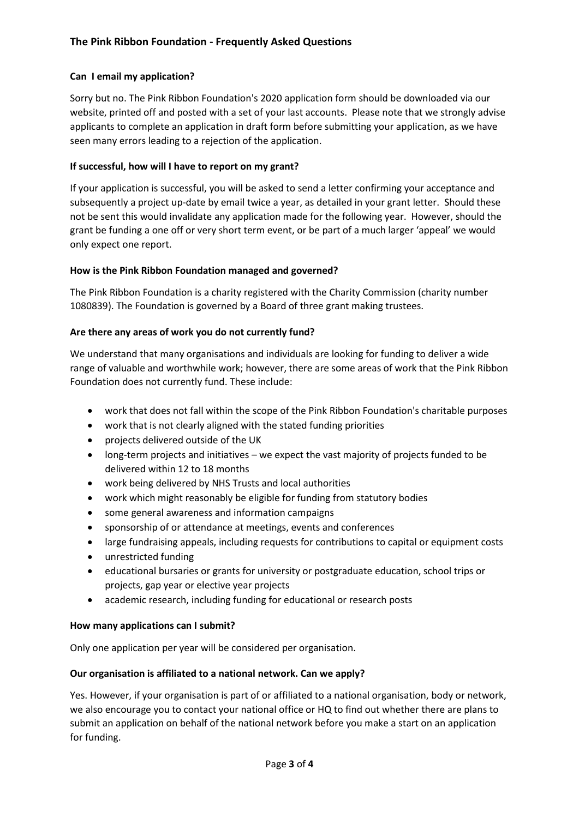# **Can I email my application?**

Sorry but no. The Pink Ribbon Foundation's 2020 application form should be downloaded via our website, printed off and posted with a set of your last accounts. Please note that we strongly advise applicants to complete an application in draft form before submitting your application, as we have seen many errors leading to a rejection of the application.

# **If successful, how will I have to report on my grant?**

If your application is successful, you will be asked to send a letter confirming your acceptance and subsequently a project up-date by email twice a year, as detailed in your grant letter. Should these not be sent this would invalidate any application made for the following year. However, should the grant be funding a one off or very short term event, or be part of a much larger 'appeal' we would only expect one report.

# **How is the Pink Ribbon Foundation managed and governed?**

The Pink Ribbon Foundation is a charity registered with the Charity Commission (charity number 1080839). The Foundation is governed by a Board of three grant making trustees.

# **Are there any areas of work you do not currently fund?**

We understand that many organisations and individuals are looking for funding to deliver a wide range of valuable and worthwhile work; however, there are some areas of work that the Pink Ribbon Foundation does not currently fund. These include:

- work that does not fall within the scope of the Pink Ribbon Foundation's charitable purposes
- work that is not clearly aligned with the stated funding priorities
- projects delivered outside of the UK
- long-term projects and initiatives we expect the vast majority of projects funded to be delivered within 12 to 18 months
- work being delivered by NHS Trusts and local authorities
- work which might reasonably be eligible for funding from statutory bodies
- some general awareness and information campaigns
- sponsorship of or attendance at meetings, events and conferences
- large fundraising appeals, including requests for contributions to capital or equipment costs
- unrestricted funding
- educational bursaries or grants for university or postgraduate education, school trips or projects, gap year or elective year projects
- academic research, including funding for educational or research posts

# **How many applications can I submit?**

Only one application per year will be considered per organisation.

# **Our organisation is affiliated to a national network. Can we apply?**

Yes. However, if your organisation is part of or affiliated to a national organisation, body or network, we also encourage you to contact your national office or HQ to find out whether there are plans to submit an application on behalf of the national network before you make a start on an application for funding.